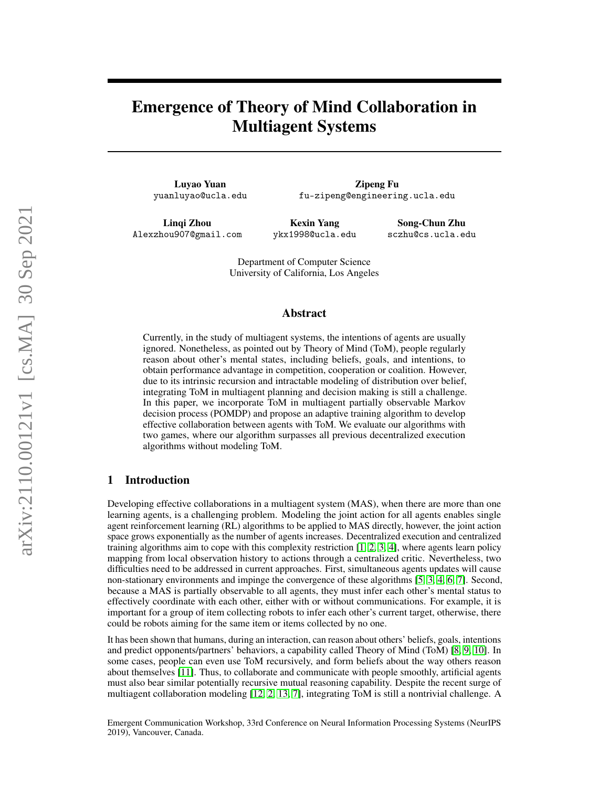# Emergence of Theory of Mind Collaboration in Multiagent Systems

Luyao Yuan yuanluyao@ucla.edu

Zipeng Fu fu-zipeng@engineering.ucla.edu

Linqi Zhou Alexzhou907@gmail.com

Kexin Yang ykx1998@ucla.edu

Song-Chun Zhu sczhu@cs.ucla.edu

Department of Computer Science University of California, Los Angeles

## Abstract

Currently, in the study of multiagent systems, the intentions of agents are usually ignored. Nonetheless, as pointed out by Theory of Mind (ToM), people regularly reason about other's mental states, including beliefs, goals, and intentions, to obtain performance advantage in competition, cooperation or coalition. However, due to its intrinsic recursion and intractable modeling of distribution over belief, integrating ToM in multiagent planning and decision making is still a challenge. In this paper, we incorporate ToM in multiagent partially observable Markov decision process (POMDP) and propose an adaptive training algorithm to develop effective collaboration between agents with ToM. We evaluate our algorithms with two games, where our algorithm surpasses all previous decentralized execution algorithms without modeling ToM.

## 1 Introduction

Developing effective collaborations in a multiagent system (MAS), when there are more than one learning agents, is a challenging problem. Modeling the joint action for all agents enables single agent reinforcement learning (RL) algorithms to be applied to MAS directly, however, the joint action space grows exponentially as the number of agents increases. Decentralized execution and centralized training algorithms aim to cope with this complexity restriction  $[1, 2, 3, 4]$  $[1, 2, 3, 4]$  $[1, 2, 3, 4]$  $[1, 2, 3, 4]$  $[1, 2, 3, 4]$  $[1, 2, 3, 4]$  $[1, 2, 3, 4]$ , where agents learn policy mapping from local observation history to actions through a centralized critic. Nevertheless, two difficulties need to be addressed in current approaches. First, simultaneous agents updates will cause non-stationary environments and impinge the convergence of these algorithms [\[5,](#page-9-1) [3,](#page-8-2) [4,](#page-9-0) [6,](#page-9-2) [7\]](#page-9-3). Second, because a MAS is partially observable to all agents, they must infer each other's mental status to effectively coordinate with each other, either with or without communications. For example, it is important for a group of item collecting robots to infer each other's current target, otherwise, there could be robots aiming for the same item or items collected by no one.

It has been shown that humans, during an interaction, can reason about others' beliefs, goals, intentions and predict opponents/partners' behaviors, a capability called Theory of Mind (ToM) [\[8,](#page-9-4) [9,](#page-9-5) [10\]](#page-9-6). In some cases, people can even use ToM recursively, and form beliefs about the way others reason about themselves [\[11\]](#page-9-7). Thus, to collaborate and communicate with people smoothly, artificial agents must also bear similar potentially recursive mutual reasoning capability. Despite the recent surge of multiagent collaboration modeling [\[12,](#page-9-8) [2,](#page-8-1) [13,](#page-9-9) [7\]](#page-9-3), integrating ToM is still a nontrivial challenge. A

Emergent Communication Workshop, 33rd Conference on Neural Information Processing Systems (NeurIPS 2019), Vancouver, Canada.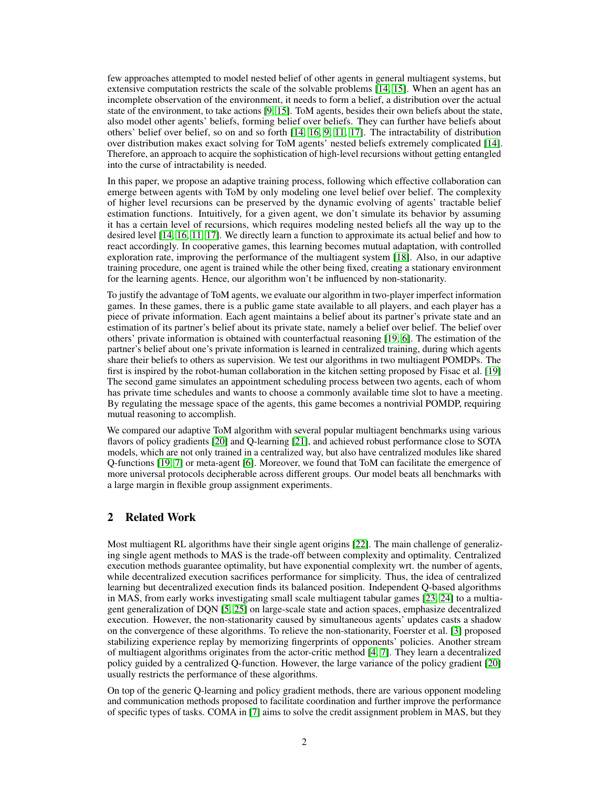few approaches attempted to model nested belief of other agents in general multiagent systems, but extensive computation restricts the scale of the solvable problems [\[14,](#page-9-10) [15\]](#page-9-11). When an agent has an incomplete observation of the environment, it needs to form a belief, a distribution over the actual state of the environment, to take actions [\[9,](#page-9-5) [15\]](#page-9-11). ToM agents, besides their own beliefs about the state, also model other agents' beliefs, forming belief over beliefs. They can further have beliefs about others' belief over belief, so on and so forth [\[14,](#page-9-10) [16,](#page-9-12) [9,](#page-9-5) [11,](#page-9-7) [17\]](#page-9-13). The intractability of distribution over distribution makes exact solving for ToM agents' nested beliefs extremely complicated [\[14\]](#page-9-10). Therefore, an approach to acquire the sophistication of high-level recursions without getting entangled into the curse of intractability is needed.

In this paper, we propose an adaptive training process, following which effective collaboration can emerge between agents with ToM by only modeling one level belief over belief. The complexity of higher level recursions can be preserved by the dynamic evolving of agents' tractable belief estimation functions. Intuitively, for a given agent, we don't simulate its behavior by assuming it has a certain level of recursions, which requires modeling nested beliefs all the way up to the desired level [\[14,](#page-9-10) [16,](#page-9-12) [11,](#page-9-7) [17\]](#page-9-13). We directly learn a function to approximate its actual belief and how to react accordingly. In cooperative games, this learning becomes mutual adaptation, with controlled exploration rate, improving the performance of the multiagent system [\[18\]](#page-9-14). Also, in our adaptive training procedure, one agent is trained while the other being fixed, creating a stationary environment for the learning agents. Hence, our algorithm won't be influenced by non-stationarity.

To justify the advantage of ToM agents, we evaluate our algorithm in two-player imperfect information games. In these games, there is a public game state available to all players, and each player has a piece of private information. Each agent maintains a belief about its partner's private state and an estimation of its partner's belief about its private state, namely a belief over belief. The belief over others' private information is obtained with counterfactual reasoning [\[19,](#page-9-15) [6\]](#page-9-2). The estimation of the partner's belief about one's private information is learned in centralized training, during which agents share their beliefs to others as supervision. We test our algorithms in two multiagent POMDPs. The first is inspired by the robot-human collaboration in the kitchen setting proposed by Fisac et al. [\[19\]](#page-9-15) The second game simulates an appointment scheduling process between two agents, each of whom has private time schedules and wants to choose a commonly available time slot to have a meeting. By regulating the message space of the agents, this game becomes a nontrivial POMDP, requiring mutual reasoning to accomplish.

We compared our adaptive ToM algorithm with several popular multiagent benchmarks using various flavors of policy gradients [\[20\]](#page-9-16) and Q-learning [\[21\]](#page-9-17), and achieved robust performance close to SOTA models, which are not only trained in a centralized way, but also have centralized modules like shared Q-functions [\[19,](#page-9-15) [7\]](#page-9-3) or meta-agent [\[6\]](#page-9-2). Moreover, we found that ToM can facilitate the emergence of more universal protocols decipherable across different groups. Our model beats all benchmarks with a large margin in flexible group assignment experiments.

## 2 Related Work

Most multiagent RL algorithms have their single agent origins [\[22\]](#page-9-18). The main challenge of generalizing single agent methods to MAS is the trade-off between complexity and optimality. Centralized execution methods guarantee optimality, but have exponential complexity wrt. the number of agents, while decentralized execution sacrifices performance for simplicity. Thus, the idea of centralized learning but decentralized execution finds its balanced position. Independent Q-based algorithms in MAS, from early works investigating small scale multiagent tabular games [\[23,](#page-9-19) [24\]](#page-9-20) to a multiagent generalization of DQN [\[5,](#page-9-1) [25\]](#page-10-0) on large-scale state and action spaces, emphasize decentralized execution. However, the non-stationarity caused by simultaneous agents' updates casts a shadow on the convergence of these algorithms. To relieve the non-stationarity, Foerster et al. [\[3\]](#page-8-2) proposed stabilizing experience replay by memorizing fingerprints of opponents' policies. Another stream of multiagent algorithms originates from the actor-critic method [\[4,](#page-9-0) [7\]](#page-9-3). They learn a decentralized policy guided by a centralized Q-function. However, the large variance of the policy gradient [\[20\]](#page-9-16) usually restricts the performance of these algorithms.

On top of the generic Q-learning and policy gradient methods, there are various opponent modeling and communication methods proposed to facilitate coordination and further improve the performance of specific types of tasks. COMA in [\[7\]](#page-9-3) aims to solve the credit assignment problem in MAS, but they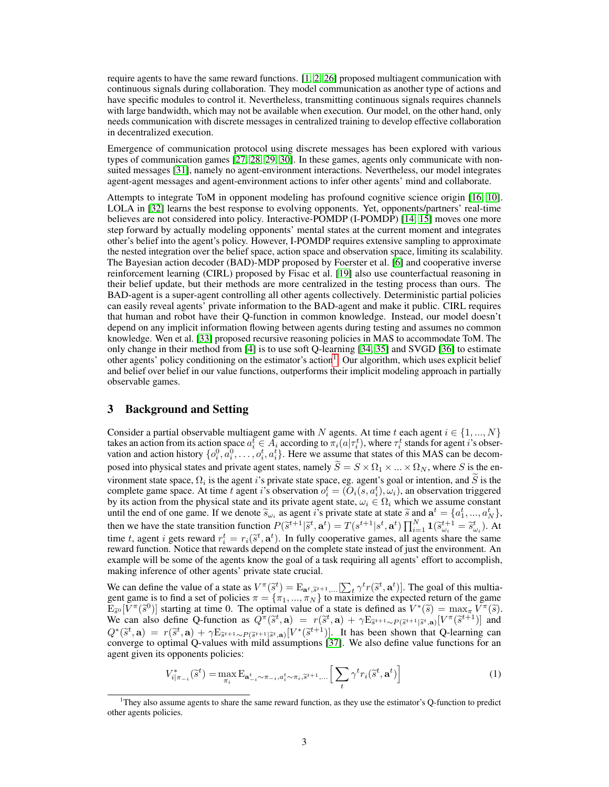require agents to have the same reward functions. [\[1,](#page-8-0) [2,](#page-8-1) [26\]](#page-10-1) proposed multiagent communication with continuous signals during collaboration. They model communication as another type of actions and have specific modules to control it. Nevertheless, transmitting continuous signals requires channels with large bandwidth, which may not be available when execution. Our model, on the other hand, only needs communication with discrete messages in centralized training to develop effective collaboration in decentralized execution.

Emergence of communication protocol using discrete messages has been explored with various types of communication games [\[27,](#page-10-2) [28,](#page-10-3) [29,](#page-10-4) [30\]](#page-10-5). In these games, agents only communicate with nonsuited messages [\[31\]](#page-10-6), namely no agent-environment interactions. Nevertheless, our model integrates agent-agent messages and agent-environment actions to infer other agents' mind and collaborate.

Attempts to integrate ToM in opponent modeling has profound cognitive science origin [\[16,](#page-9-12) [10\]](#page-9-6). LOLA in [\[32\]](#page-10-7) learns the best response to evolving opponents. Yet, opponents/partners' real-time believes are not considered into policy. Interactive-POMDP (I-POMDP) [\[14,](#page-9-10) [15\]](#page-9-11) moves one more step forward by actually modeling opponents' mental states at the current moment and integrates other's belief into the agent's policy. However, I-POMDP requires extensive sampling to approximate the nested integration over the belief space, action space and observation space, limiting its scalability. The Bayesian action decoder (BAD)-MDP proposed by Foerster et al. [\[6\]](#page-9-2) and cooperative inverse reinforcement learning (CIRL) proposed by Fisac et al. [\[19\]](#page-9-15) also use counterfactual reasoning in their belief update, but their methods are more centralized in the testing process than ours. The BAD-agent is a super-agent controlling all other agents collectively. Deterministic partial policies can easily reveal agents' private information to the BAD-agent and make it public. CIRL requires that human and robot have their Q-function in common knowledge. Instead, our model doesn't depend on any implicit information flowing between agents during testing and assumes no common knowledge. Wen et al. [\[33\]](#page-10-8) proposed recursive reasoning policies in MAS to accommodate ToM. The only change in their method from [\[4\]](#page-9-0) is to use soft Q-learning [\[34,](#page-10-9) [35\]](#page-10-10) and SVGD [\[36\]](#page-10-11) to estimate other agents' policy conditioning on the estimator's action<sup>[1](#page-2-0)</sup>. Our algorithm, which uses explicit belief and belief over belief in our value functions, outperforms their implicit modeling approach in partially observable games.

# 3 Background and Setting

Consider a partial observable multiagent game with N agents. At time t each agent  $i \in \{1, ..., N\}$ takes an action from its action space  $a_i^t \in A_i$  according to  $\pi_i(a|\tau_i^t)$ , where  $\tau_i^t$  stands for agent i's observation and action history  $\{o_i^0, a_i^0, \ldots, o_i^t, a_i^t\}$ . Here we assume that states of this MAS can be decomposed into physical states and private agent states, namely  $\widetilde{S} = S \times \Omega_1 \times ... \times \Omega_N$ , where S is the environment state space,  $\Omega_i$  is the agent i's private state space, eg. agent's goal or intention, and S is the complete game space. At time t agent i's observation  $o_i^t = (O_i(s, a_i^t), \omega_i)$ , an observation triggered by its action from the physical state and its private agent state,  $\omega_i \in \Omega_i$  which we assume constant until the end of one game. If we denote  $\tilde{s}_{\omega_i}$  as agent  $i$ 's private state at state  $\tilde{s}$  and  $\mathbf{a}^t = \{a_1^t, ..., a_N^t\}$ , then we have the state transition function  $P(\tilde{s}^{t+1}|\tilde{s}^t, \mathbf{a}^t) = T(s^{t+1}|s^t, \mathbf{a}^t) \prod_{i=1}^N \mathbf{1}(\tilde{s}^{t+1}_{\omega_i} = \tilde{s}^t_{\omega_i}).$  At time t, goesn't gets reward  $s^t = x(\tilde{s}^t, \mathbf{a}^t)$ . In fully cooperative games, time t, agent i gets reward  $r_i^t = r_i(\tilde{s}^t, \mathbf{a}^t)$ . In fully cooperative games, all agents share the same<br>reward function. Notice that rewards depend on the complete state instead of just the environment. An reward function. Notice that rewards depend on the complete state instead of just the environment. An example will be some of the agents know the goal of a task requiring all agents' effort to accomplish, making inference of other agents' private state crucial.

We can define the value of a state as  $V^{\pi}(\tilde{s}^t) = \mathbb{E}_{\mathbf{a}^t, \tilde{s}^{t+1}, \dots} [\sum_t \gamma^t r(\tilde{s}^t, \mathbf{a}^t)]$ . The goal of this multia-<br>gent game is to find a set of policies  $\pi = \{\pi_1, \dots, \pi_N\}$  to maximize the expected ret gent game is to find a set of policies  $\pi = {\pi_1, ..., \pi_N}$  to maximize the expected return of the game  $\mathbf{E}_{\mathcal{S}^0}[\tilde{V}^\pi(\tilde{s}^0)]$  starting at time 0. The optimal value of a state is defined as  $V^*(\tilde{s}) = \max_{\pi} V^\pi(\tilde{s})$ .<br>We can also define O-function as  $O^{\pi}(\tilde{s}^t, \mathbf{a}) = r(\tilde{s}^t, \mathbf{a}) + \gamma \mathbf{E}_{\tilde{s}^t+1}$ ,  $\gamma \gamma \$ We can also define Q-function as  $Q^{\pi}(\tilde{s}^t, \mathbf{a}) = r(\tilde{s}^t, \mathbf{a}) + \gamma E_{\tilde{s}^{t+1} \sim P(\tilde{s}^{t+1}|\tilde{s}^t, \mathbf{a})}[V^{\pi}(\tilde{s}^{t+1})]$  and  $Q^{\pi}(\tilde{s}^t, \mathbf{a}) = r(\tilde{s}^t, \mathbf{a}) + \gamma E_{\tilde{s}^{t+1} \sim P(\tilde{s}^{t+1}|\tilde{s}^t, \mathbf{a})}[V^{\pi}(\tilde$  $Q^*(\tilde{s}^t, \mathbf{a}) = r(\tilde{s}^t, \mathbf{a}) + \gamma \mathbb{E}_{\tilde{s}^{t+1} \sim P(\tilde{s}^{t+1} | \tilde{s}^t, \mathbf{a})}[V^*(\tilde{s}^{t+1})]$ . It has been shown that Q-learning can converge to optimal Q-values with mild assumptions [\[37\]](#page-10-12). We also define value functions for an agent given its opponents policies:

$$
V_{i|\pi_{-i}}^*(\tilde{s}^t) = \max_{\pi_i} \mathcal{E}_{\mathbf{a}_{-i}^t \sim \pi_{-i}, a_i^t \sim \pi_i, \tilde{s}^{t+1}, \dots} \left[ \sum_t \gamma^t r_i(\tilde{s}^t, \mathbf{a}^t) \right]
$$
(1)

<span id="page-2-0"></span><sup>1</sup>They also assume agents to share the same reward function, as they use the estimator's Q-function to predict other agents policies.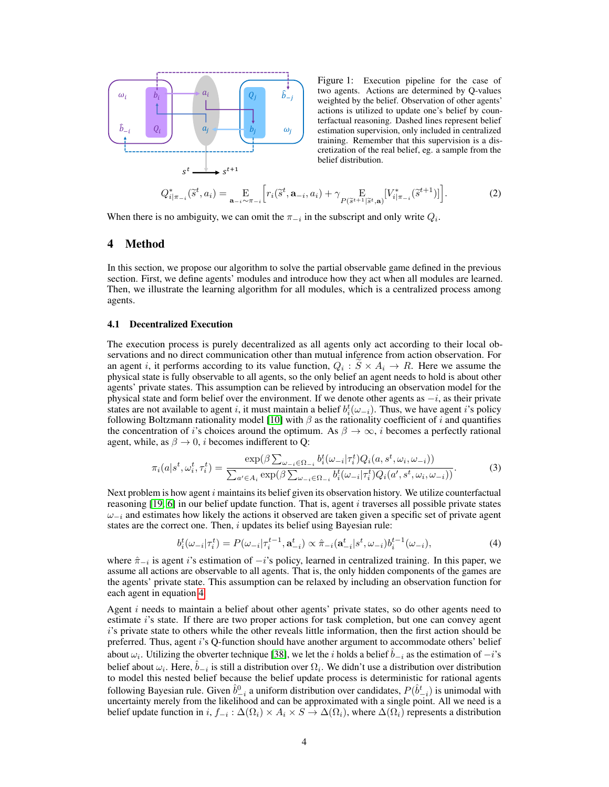<span id="page-3-2"></span>

Figure 1: Execution pipeline for the case of two agents. Actions are determined by Q-values weighted by the belief. Observation of other agents' actions is utilized to update one's belief by counterfactual reasoning. Dashed lines represent belief estimation supervision, only included in centralized training. Remember that this supervision is a discretization of the real belief, eg. a sample from the belief distribution.

$$
Q_{i|\pi_{-i}}^*(\tilde{s}^t, a_i) = \mathop{\mathbf{E}}_{\mathbf{a}_{-i}\sim\pi_{-i}} \Big[ r_i(\tilde{s}^t, \mathbf{a}_{-i}, a_i) + \gamma \mathop{\mathbf{E}}_{P(\tilde{s}^{t+1}|\tilde{s}^t, \mathbf{a})} [V_{i|\pi_{-i}}^*(\tilde{s}^{t+1})] \Big].
$$
 (2)

When there is no ambiguity, we can omit the  $\pi_{-i}$  in the subscript and only write  $Q_i$ .

## 4 Method

In this section, we propose our algorithm to solve the partial observable game defined in the previous section. First, we define agents' modules and introduce how they act when all modules are learned. Then, we illustrate the learning algorithm for all modules, which is a centralized process among agents.

#### <span id="page-3-3"></span>4.1 Decentralized Execution

The execution process is purely decentralized as all agents only act according to their local observations and no direct communication other than mutual inference from action observation. For an agent i, it performs according to its value function,  $Q_i : S \times A_i \to R$ . Here we assume the physical state is fully observable to all agents, so the only belief an agent needs to hold is about other agents' private states. This assumption can be relieved by introducing an observation model for the physical state and form belief over the environment. If we denote other agents as  $-i$ , as their private states are not available to agent i, it must maintain a belief  $b_i^t(\omega_{-i})$ . Thus, we have agent i's policy following Boltzmann rationality model [\[10\]](#page-9-6) with  $\beta$  as the rationality coefficient of i and quantifies the concentration of i's choices around the optimum. As  $\beta \to \infty$ , i becomes a perfectly rational agent, while, as  $\beta \rightarrow 0$ , *i* becomes indifferent to Q:

$$
\pi_i(a|s^t,\omega_i^t,\tau_i^t) = \frac{\exp(\beta \sum_{\omega_{-i}\in\Omega_{-i}} b_i^t(\omega_{-i}|\tau_i^t)Q_i(a,s^t,\omega_i,\omega_{-i}))}{\sum_{a'\in A_i} \exp(\beta \sum_{\omega_{-i}\in\Omega_{-i}} b_i^t(\omega_{-i}|\tau_i^t)Q_i(a',s^t,\omega_i,\omega_{-i}))}.
$$
(3)

Next problem is how agent  $i$  maintains its belief given its observation history. We utilize counterfactual reasoning  $[19, 6]$  $[19, 6]$  $[19, 6]$  in our belief update function. That is, agent i traverses all possible private states  $\omega_{-i}$  and estimates how likely the actions it observed are taken given a specific set of private agent states are the correct one. Then,  $i$  updates its belief using Bayesian rule:

<span id="page-3-1"></span><span id="page-3-0"></span>
$$
b_i^t(\omega_{-i}|\tau_i^t) = P(\omega_{-i}|\tau_i^{t-1}, \mathbf{a}_{-i}^t) \propto \hat{\pi}_{-i}(\mathbf{a}_{-i}^t|s^t, \omega_{-i})b_i^{t-1}(\omega_{-i}),
$$
\n(4)

where  $\hat{\pi}_{-i}$  is agent i's estimation of  $-i$ 's policy, learned in centralized training. In this paper, we assume all actions are observable to all agents. That is, the only hidden components of the games are the agents' private state. This assumption can be relaxed by including an observation function for each agent in equation [4.](#page-3-0)

Agent i needs to maintain a belief about other agents' private states, so do other agents need to estimate i's state. If there are two proper actions for task completion, but one can convey agent i's private state to others while the other reveals little information, then the first action should be preferred. Thus, agent i's Q-function should have another argument to accommodate others' belief about  $\omega_i$ . Utilizing the obverter technique [\[38\]](#page-10-13), we let the *i* holds a belief  $\hat{b}_{-i}$  as the estimation of  $-i$ 's belief about  $\omega_i$ . Here,  $\hat{b}_{-i}$  is still a distribution over  $\Omega_i$ . We didn't use a distribution over distribution to model this nested belief because the belief update process is deterministic for rational agents following Bayesian rule. Given  $\hat{b}^0_{-i}$  a uniform distribution over candidates,  $P(\hat{b}^t_{-i})$  is unimodal with uncertainty merely from the likelihood and can be approximated with a single point. All we need is a belief update function in  $i, f_{-i} : \Delta(\Omega_i) \times A_i \times S \to \Delta(\Omega_i)$ , where  $\Delta(\Omega_i)$  represents a distribution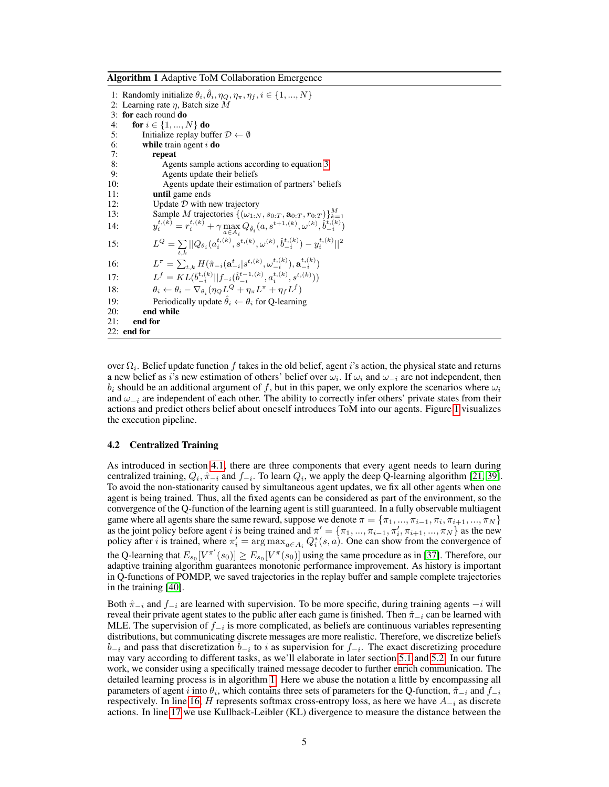<span id="page-4-0"></span>Algorithm 1 Adaptive ToM Collaboration Emergence

1: Randomly initialize  $\theta_i$ ,  $\hat{\theta}_i$ ,  $\eta_Q$ ,  $\eta_{\pi}$ ,  $\eta_f$ ,  $i \in \{1, ..., N\}$ 2: Learning rate  $\eta$ , Batch size M 3: for each round do 4: for  $i \in \{1, ..., N\}$  do 5: Initialize replay buffer  $\mathcal{D} \leftarrow \emptyset$ 6: while train agent  $i$  do 7: **repeat**<br>8: Age 8: Agents sample actions according to equation [3](#page-3-1)<br>9: Agents update their beliefs Agents update their beliefs 10: Agents update their estimation of partners' beliefs 11: until game ends 12: Update  $D$  with new trajectory 13: Sample *M* trajectories  $\{(\omega_{1:N}, s_{0:T}, \mathbf{a}_{0:T}, r_{0:T})\}_{k=1}^M$ <br>  $y_i^{t,(k)} = r_i^{t,(k)} + \gamma \max_{a \in A_i} Q_{\hat{\theta}_i}(a, s^{t+1,(k)}, \omega^{(k)}, \hat{b}_{-i}^{t,(k)})$  $14:$ 15:  $L^Q = \sum_{t,k} ||Q_{\theta_i}(a_i^{t,(k)}, s^{t,(k)}, \omega^{(k)}, \hat{b}_{-i}^{t,(k)}) - y_i^{t,(k)}||^2$ 16:  $L^{\pi} = \sum_{t,k} H(\hat{\pi}_{-i}(\mathbf{a}_{-i}^{t}|s^{t,(k)}, \omega_{-i}^{t,(k)}), \mathbf{a}_{-i}^{t,(k)})$  $17:$  $f = KL(\bar{b}_{-i}^{t,(k)}||f_{-i}(\hat{b}_{-i}^{t-1,(k)}, a_i^{t,(k)}, s^{t,(k)}))$ 18:  $\theta_i \leftarrow \theta_i - \nabla_{\theta_i} (\eta_Q L^Q + \eta_\pi L^\pi + \eta_f L^f)$ 19: Periodically update  $\hat{\theta}_i \leftarrow \theta_i$  for Q-learning 20: end while 21: end for 22: end for

<span id="page-4-3"></span><span id="page-4-2"></span><span id="page-4-1"></span>over  $\Omega_i$ . Belief update function  $f$  takes in the old belief, agent i's action, the physical state and returns a new belief as i's new estimation of others' belief over  $\omega_i$ . If  $\omega_i$  and  $\omega_{-i}$  are not independent, then  $b_i$  should be an additional argument of f, but in this paper, we only explore the scenarios where  $\omega_i$ and  $\omega_{-i}$  are independent of each other. The ability to correctly infer others' private states from their actions and predict others belief about oneself introduces ToM into our agents. Figure [1](#page-3-2) visualizes the execution pipeline.

#### 4.2 Centralized Training

As introduced in section [4.1,](#page-3-3) there are three components that every agent needs to learn during centralized training,  $Q_i$ ,  $\hat{\pi}_{-i}$  and  $f_{-i}$ . To learn  $Q_i$ , we apply the deep Q-learning algorithm [\[21,](#page-9-17) [39\]](#page-10-14). To avoid the non-stationarity caused by simultaneous agent updates, we fix all other agents when one agent is being trained. Thus, all the fixed agents can be considered as part of the environment, so the convergence of the Q-function of the learning agent is still guaranteed. In a fully observable multiagent game where all agents share the same reward, suppose we denote  $\pi = \{\pi_1, ..., \pi_{i-1}, \pi_i, \pi_{i+1}, ..., \pi_N\}$ as the joint policy before agent i is being trained and  $\pi' = {\pi_1, ..., \pi_{i-1}, \pi'_i, \pi_{i+1}, ..., \pi_N}$  as the new policy after *i* is trained, where  $\pi'_i = \arg \max_{a \in A_i} Q_i^*(s, a)$ . One can show from the convergence of the Q-learning that  $E_{s_0}[V^{\pi'}(s_0)] \ge E_{s_0}[V^{\pi}(s_0)]$  using the same procedure as in [\[37\]](#page-10-12). Therefore, our adaptive training algorithm guarantees monotonic performance improvement. As history is important in Q-functions of POMDP, we saved trajectories in the replay buffer and sample complete trajectories in the training [\[40\]](#page-10-15).

Both  $\hat{\pi}_{-i}$  and  $f_{-i}$  are learned with supervision. To be more specific, during training agents  $-i$  will reveal their private agent states to the public after each game is finished. Then  $\hat{\pi}_{-i}$  can be learned with MLE. The supervision of  $f_{-i}$  is more complicated, as beliefs are continuous variables representing distributions, but communicating discrete messages are more realistic. Therefore, we discretize beliefs  $b_{-i}$  and pass that discretization  $\overline{b}_{-i}$  to i as supervision for  $f_{-i}$ . The exact discretizing procedure may vary according to different tasks, as we'll elaborate in later section [5.1](#page-5-0) and [5.2.](#page-7-0) In our future work, we consider using a specifically trained message decoder to further enrich communication. The detailed learning process is in algorithm [1.](#page-4-0) Here we abuse the notation a little by encompassing all parameters of agent i into  $\theta_i$ , which contains three sets of parameters for the Q-function,  $\hat{\pi}_{-i}$  and  $f_{-i}$ respectively. In line [16,](#page-4-1) H represents softmax cross-entropy loss, as here we have  $A_{-i}$  as discrete actions. In line [17](#page-4-2) we use Kullback-Leibler (KL) divergence to measure the distance between the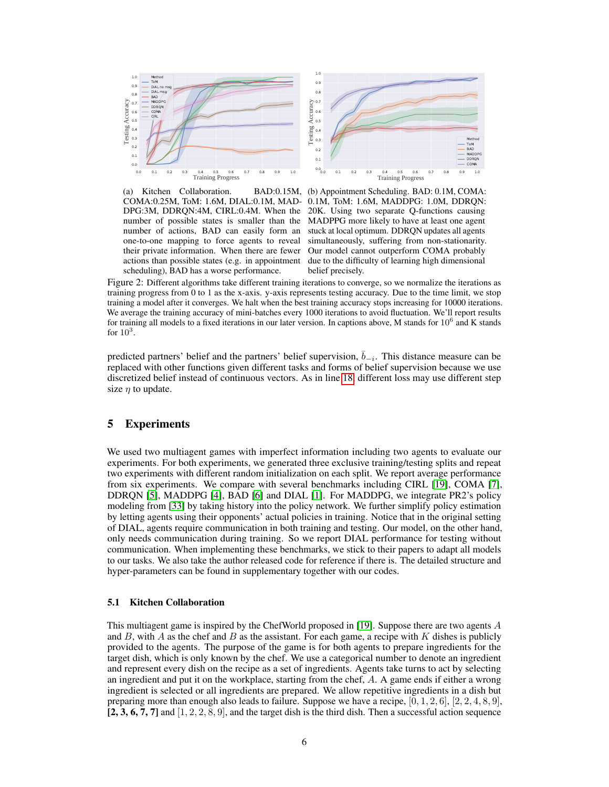<span id="page-5-1"></span>

(a) Kitchen Collaboration. COMA:0.25M, ToM: 1.6M, DIAL:0.1M, MAD-0.1M, ToM: 1.6M, MADDPG: 1.0M, DDRQN: DPG:3M, DDRQN:4M, CIRL:0.4M. When the 20K. Using two separate Q-functions causing number of possible states is smaller than the MADPPG more likely to have at least one agent number of actions, BAD can easily form an one-to-one mapping to force agents to reveal their private information. When there are fewer Our model cannot outperform COMA probably actions than possible states (e.g. in appointment due to the difficulty of learning high dimensional scheduling), BAD has a worse performance.



Figure 2: Different algorithms take different training iterations to converge, so we normalize the iterations as training progress from 0 to 1 as the x-axis. y-axis represents testing accuracy. Due to the time limit, we stop training a model after it converges. We halt when the best training accuracy stops increasing for 10000 iterations. We average the training accuracy of mini-batches every 1000 iterations to avoid fluctuation. We'll report results for training all models to a fixed iterations in our later version. In captions above, M stands for  $10^6$  and K stands for  $10^3$ .

predicted partners' belief and the partners' belief supervision,  $\bar{b}_{-i}$ . This distance measure can be replaced with other functions given different tasks and forms of belief supervision because we use discretized belief instead of continuous vectors. As in line [18,](#page-4-3) different loss may use different step size  $\eta$  to update.

# 5 Experiments

We used two multiagent games with imperfect information including two agents to evaluate our experiments. For both experiments, we generated three exclusive training/testing splits and repeat two experiments with different random initialization on each split. We report average performance from six experiments. We compare with several benchmarks including CIRL [\[19\]](#page-9-15), COMA [\[7\]](#page-9-3), DDRQN [\[5\]](#page-9-1), MADDPG [\[4\]](#page-9-0), BAD [\[6\]](#page-9-2) and DIAL [\[1\]](#page-8-0). For MADDPG, we integrate PR2's policy modeling from [\[33\]](#page-10-8) by taking history into the policy network. We further simplify policy estimation by letting agents using their opponents' actual policies in training. Notice that in the original setting of DIAL, agents require communication in both training and testing. Our model, on the other hand, only needs communication during training. So we report DIAL performance for testing without communication. When implementing these benchmarks, we stick to their papers to adapt all models to our tasks. We also take the author released code for reference if there is. The detailed structure and hyper-parameters can be found in supplementary together with our codes.

#### <span id="page-5-0"></span>5.1 Kitchen Collaboration

This multiagent game is inspired by the ChefWorld proposed in [\[19\]](#page-9-15). Suppose there are two agents A and  $B$ , with  $A$  as the chef and  $B$  as the assistant. For each game, a recipe with  $K$  dishes is publicly provided to the agents. The purpose of the game is for both agents to prepare ingredients for the target dish, which is only known by the chef. We use a categorical number to denote an ingredient and represent every dish on the recipe as a set of ingredients. Agents take turns to act by selecting an ingredient and put it on the workplace, starting from the chef,  $A$ . A game ends if either a wrong ingredient is selected or all ingredients are prepared. We allow repetitive ingredients in a dish but preparing more than enough also leads to failure. Suppose we have a recipe,  $[0, 1, 2, 6]$ ,  $[2, 2, 4, 8, 9]$ ,  $[2, 3, 6, 7, 7]$  and  $[1, 2, 2, 8, 9]$ , and the target dish is the third dish. Then a successful action sequence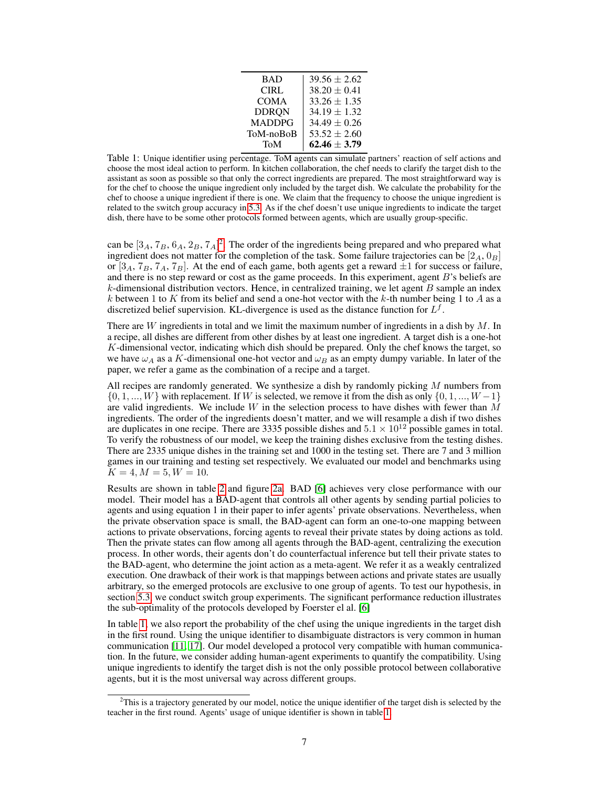| <b>BAD</b>    | $39.56 \pm 2.62$ |
|---------------|------------------|
| CIRL          | $38.20 \pm 0.41$ |
| <b>COMA</b>   | $33.26 \pm 1.35$ |
| <b>DDRON</b>  | $34.19 \pm 1.32$ |
| <b>MADDPG</b> | $34.49 \pm 0.26$ |
| ToM-noBoB     | $53.52 \pm 2.60$ |
| ToM           | $62.46 \pm 3.79$ |

<span id="page-6-1"></span>Table 1: Unique identifier using percentage. ToM agents can simulate partners' reaction of self actions and choose the most ideal action to perform. In kitchen collaboration, the chef needs to clarify the target dish to the assistant as soon as possible so that only the correct ingredients are prepared. The most straightforward way is for the chef to choose the unique ingredient only included by the target dish. We calculate the probability for the chef to choose a unique ingredient if there is one. We claim that the frequency to choose the unique ingredient is related to the switch group accuracy in [5.3.](#page-8-3) As if the chef doesn't use unique ingredients to indicate the target dish, there have to be some other protocols formed between agents, which are usually group-specific.

can be  $[3_A, 7_B, 6_A, 2_B, 7_A]^2$  $[3_A, 7_B, 6_A, 2_B, 7_A]^2$  $[3_A, 7_B, 6_A, 2_B, 7_A]^2$ . The order of the ingredients being prepared and who prepared what ingredient does not matter for the completion of the task. Some failure trajectories can be  $[2_A, 0_B]$ or  $[3_A, 7_B, 7_A, 7_B]$ . At the end of each game, both agents get a reward  $\pm 1$  for success or failure, and there is no step reward or cost as the game proceeds. In this experiment, agent  $B$ 's beliefs are  $k$ -dimensional distribution vectors. Hence, in centralized training, we let agent  $B$  sample an index k between 1 to K from its belief and send a one-hot vector with the k-th number being 1 to A as a discretized belief supervision. KL-divergence is used as the distance function for  $L^f$ .

There are  $W$  ingredients in total and we limit the maximum number of ingredients in a dish by  $M$ . In a recipe, all dishes are different from other dishes by at least one ingredient. A target dish is a one-hot K-dimensional vector, indicating which dish should be prepared. Only the chef knows the target, so we have  $\omega_A$  as a K-dimensional one-hot vector and  $\omega_B$  as an empty dumpy variable. In later of the paper, we refer a game as the combination of a recipe and a target.

All recipes are randomly generated. We synthesize a dish by randomly picking  $M$  numbers from  $\{0, 1, \ldots, W\}$  with replacement. If W is selected, we remove it from the dish as only  $\{0, 1, \ldots, W-1\}$ are valid ingredients. We include  $W$  in the selection process to have dishes with fewer than  $M$ ingredients. The order of the ingredients doesn't matter, and we will resample a dish if two dishes are duplicates in one recipe. There are 3335 possible dishes and  $5.1 \times 10^{12}$  possible games in total. To verify the robustness of our model, we keep the training dishes exclusive from the testing dishes. There are 2335 unique dishes in the training set and 1000 in the testing set. There are 7 and 3 million games in our training and testing set respectively. We evaluated our model and benchmarks using  $K = 4, M = 5, W = 10.$ 

Results are shown in table [2](#page-7-1) and figure [2a.](#page-5-1) BAD [\[6\]](#page-9-2) achieves very close performance with our model. Their model has a BAD-agent that controls all other agents by sending partial policies to agents and using equation 1 in their paper to infer agents' private observations. Nevertheless, when the private observation space is small, the BAD-agent can form an one-to-one mapping between actions to private observations, forcing agents to reveal their private states by doing actions as told. Then the private states can flow among all agents through the BAD-agent, centralizing the execution process. In other words, their agents don't do counterfactual inference but tell their private states to the BAD-agent, who determine the joint action as a meta-agent. We refer it as a weakly centralized execution. One drawback of their work is that mappings between actions and private states are usually arbitrary, so the emerged protocols are exclusive to one group of agents. To test our hypothesis, in section [5.3,](#page-8-3) we conduct switch group experiments. The significant performance reduction illustrates the sub-optimality of the protocols developed by Foerster el al. [\[6\]](#page-9-2)

In table [1,](#page-6-1) we also report the probability of the chef using the unique ingredients in the target dish in the first round. Using the unique identifier to disambiguate distractors is very common in human communication [\[11,](#page-9-7) [17\]](#page-9-13). Our model developed a protocol very compatible with human communication. In the future, we consider adding human-agent experiments to quantify the compatibility. Using unique ingredients to identify the target dish is not the only possible protocol between collaborative agents, but it is the most universal way across different groups.

<span id="page-6-0"></span> $2$ This is a trajectory generated by our model, notice the unique identifier of the target dish is selected by the teacher in the first round. Agents' usage of unique identifier is shown in table [1.](#page-6-1)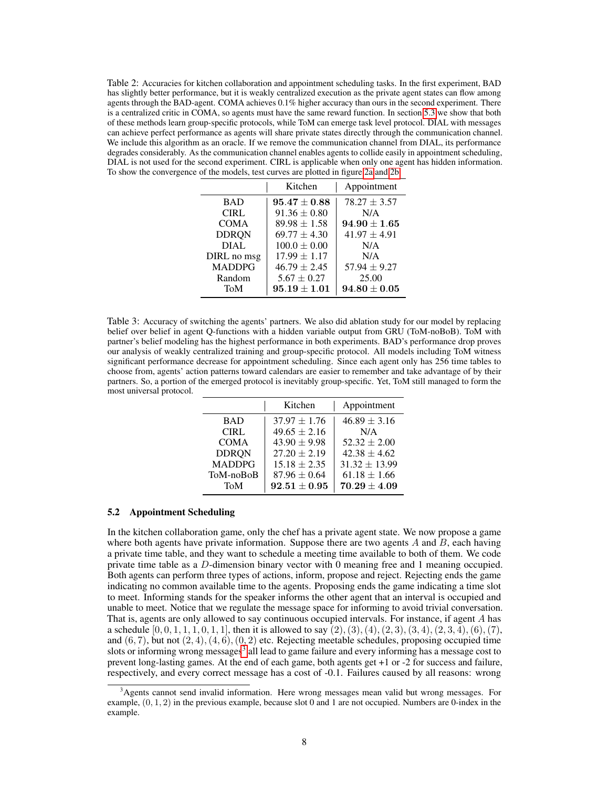<span id="page-7-1"></span>Table 2: Accuracies for kitchen collaboration and appointment scheduling tasks. In the first experiment, BAD has slightly better performance, but it is weakly centralized execution as the private agent states can flow among agents through the BAD-agent. COMA achieves 0.1% higher accuracy than ours in the second experiment. There is a centralized critic in COMA, so agents must have the same reward function. In section [5.3](#page-8-3) we show that both of these methods learn group-specific protocols, while ToM can emerge task level protocol. DIAL with messages can achieve perfect performance as agents will share private states directly through the communication channel. We include this algorithm as an oracle. If we remove the communication channel from DIAL, its performance degrades considerably. As the communication channel enables agents to collide easily in appointment scheduling, DIAL is not used for the second experiment. CIRL is applicable when only one agent has hidden information. To show the convergence of the models, test curves are plotted in figure [2a](#page-5-1) and [2b.](#page-5-1)

|               | Kitchen          | Appointment      |
|---------------|------------------|------------------|
| <b>BAD</b>    | $95.47 \pm 0.88$ | $78.27 \pm 3.57$ |
| <b>CIRL</b>   | $91.36 \pm 0.80$ | N/A              |
| <b>COMA</b>   | $89.98 \pm 1.58$ | $94.90 \pm 1.65$ |
| <b>DDRON</b>  | $69.77 \pm 4.30$ | $41.97 \pm 4.91$ |
| DIAL.         | $100.0 \pm 0.00$ | N/A              |
| DIRL no msg   | $17.99 \pm 1.17$ | N/A              |
| <b>MADDPG</b> | $46.79 \pm 2.45$ | $57.94 \pm 9.27$ |
| Random        | $5.67 \pm 0.27$  | 25.00            |
| ToM           | $95.19 \pm 1.01$ | $94.80 \pm 0.05$ |

<span id="page-7-3"></span>Table 3: Accuracy of switching the agents' partners. We also did ablation study for our model by replacing belief over belief in agent Q-functions with a hidden variable output from GRU (ToM-noBoB). ToM with partner's belief modeling has the highest performance in both experiments. BAD's performance drop proves our analysis of weakly centralized training and group-specific protocol. All models including ToM witness significant performance decrease for appointment scheduling. Since each agent only has 256 time tables to choose from, agents' action patterns toward calendars are easier to remember and take advantage of by their partners. So, a portion of the emerged protocol is inevitably group-specific. Yet, ToM still managed to form the most universal protocol.

|               | Kitchen          | Appointment       |
|---------------|------------------|-------------------|
| <b>BAD</b>    | $37.97 \pm 1.76$ | $46.89 \pm 3.16$  |
| CIRL          | $49.65 \pm 2.16$ | N/A               |
| <b>COMA</b>   | $43.90 \pm 9.98$ | $52.32 \pm 2.00$  |
| <b>DDRON</b>  | $27.20 \pm 2.19$ | $42.38 \pm 4.62$  |
| <b>MADDPG</b> | $15.18 \pm 2.35$ | $31.32 \pm 13.99$ |
| ToM-noBoB     | $87.96 \pm 0.64$ | $61.18 \pm 1.66$  |
| ToM           | $92.51 \pm 0.95$ | $70.29 \pm 4.09$  |

### <span id="page-7-0"></span>5.2 Appointment Scheduling

In the kitchen collaboration game, only the chef has a private agent state. We now propose a game where both agents have private information. Suppose there are two agents  $A$  and  $B$ , each having a private time table, and they want to schedule a meeting time available to both of them. We code private time table as a D-dimension binary vector with 0 meaning free and 1 meaning occupied. Both agents can perform three types of actions, inform, propose and reject. Rejecting ends the game indicating no common available time to the agents. Proposing ends the game indicating a time slot to meet. Informing stands for the speaker informs the other agent that an interval is occupied and unable to meet. Notice that we regulate the message space for informing to avoid trivial conversation. That is, agents are only allowed to say continuous occupied intervals. For instance, if agent A has a schedule  $[0, 0, 1, 1, 1, 0, 1, 1]$ , then it is allowed to say  $(2), (3), (4), (2, 3), (3, 4), (2, 3, 4), (6), (7)$ , and  $(6, 7)$ , but not  $(2, 4)$ ,  $(4, 6)$ ,  $(0, 2)$  etc. Rejecting meetable schedules, proposing occupied time slots or informing wrong messages<sup>[3](#page-7-2)</sup> all lead to game failure and every informing has a message cost to prevent long-lasting games. At the end of each game, both agents get +1 or -2 for success and failure, respectively, and every correct message has a cost of -0.1. Failures caused by all reasons: wrong

<span id="page-7-2"></span><sup>&</sup>lt;sup>3</sup>Agents cannot send invalid information. Here wrong messages mean valid but wrong messages. For example,  $(0, 1, 2)$  in the previous example, because slot 0 and 1 are not occupied. Numbers are 0-index in the example.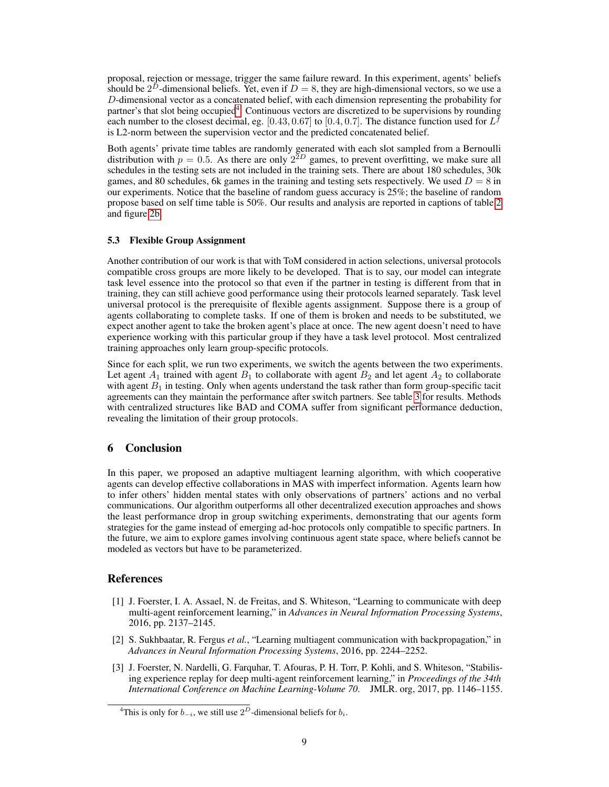proposal, rejection or message, trigger the same failure reward. In this experiment, agents' beliefs should be  $2^D$ -dimensional beliefs. Yet, even if  $D = 8$ , they are high-dimensional vectors, so we use a D-dimensional vector as a concatenated belief, with each dimension representing the probability for partner's that slot being occupied<sup>[4](#page-8-4)</sup>. Continuous vectors are discretized to be supervisions by rounding each number to the closest decimal, eg. [0.43, 0.67] to [0.4, 0.7]. The distance function used for  $L^f$ is L2-norm between the supervision vector and the predicted concatenated belief.

Both agents' private time tables are randomly generated with each slot sampled from a Bernoulli distribution with  $p = 0.5$ . As there are only  $2^{2D}$  games, to prevent overfitting, we make sure all schedules in the testing sets are not included in the training sets. There are about 180 schedules, 30k games, and 80 schedules, 6k games in the training and testing sets respectively. We used  $D = 8$  in our experiments. Notice that the baseline of random guess accuracy is 25%; the baseline of random propose based on self time table is 50%. Our results and analysis are reported in captions of table [2](#page-7-1) and figure [2b.](#page-5-1)

## <span id="page-8-3"></span>5.3 Flexible Group Assignment

Another contribution of our work is that with ToM considered in action selections, universal protocols compatible cross groups are more likely to be developed. That is to say, our model can integrate task level essence into the protocol so that even if the partner in testing is different from that in training, they can still achieve good performance using their protocols learned separately. Task level universal protocol is the prerequisite of flexible agents assignment. Suppose there is a group of agents collaborating to complete tasks. If one of them is broken and needs to be substituted, we expect another agent to take the broken agent's place at once. The new agent doesn't need to have experience working with this particular group if they have a task level protocol. Most centralized training approaches only learn group-specific protocols.

Since for each split, we run two experiments, we switch the agents between the two experiments. Let agent  $A_1$  trained with agent  $B_1$  to collaborate with agent  $B_2$  and let agent  $A_2$  to collaborate with agent  $B_1$  in testing. Only when agents understand the task rather than form group-specific tacit agreements can they maintain the performance after switch partners. See table [3](#page-7-3) for results. Methods with centralized structures like BAD and COMA suffer from significant performance deduction, revealing the limitation of their group protocols.

# 6 Conclusion

In this paper, we proposed an adaptive multiagent learning algorithm, with which cooperative agents can develop effective collaborations in MAS with imperfect information. Agents learn how to infer others' hidden mental states with only observations of partners' actions and no verbal communications. Our algorithm outperforms all other decentralized execution approaches and shows the least performance drop in group switching experiments, demonstrating that our agents form strategies for the game instead of emerging ad-hoc protocols only compatible to specific partners. In the future, we aim to explore games involving continuous agent state space, where beliefs cannot be modeled as vectors but have to be parameterized.

# References

- <span id="page-8-0"></span>[1] J. Foerster, I. A. Assael, N. de Freitas, and S. Whiteson, "Learning to communicate with deep multi-agent reinforcement learning," in *Advances in Neural Information Processing Systems*, 2016, pp. 2137–2145.
- <span id="page-8-1"></span>[2] S. Sukhbaatar, R. Fergus *et al.*, "Learning multiagent communication with backpropagation," in *Advances in Neural Information Processing Systems*, 2016, pp. 2244–2252.
- <span id="page-8-2"></span>[3] J. Foerster, N. Nardelli, G. Farquhar, T. Afouras, P. H. Torr, P. Kohli, and S. Whiteson, "Stabilising experience replay for deep multi-agent reinforcement learning," in *Proceedings of the 34th International Conference on Machine Learning-Volume 70*. JMLR. org, 2017, pp. 1146–1155.

<span id="page-8-4"></span><sup>&</sup>lt;sup>4</sup>This is only for  $b_{-i}$ , we still use  $2^D$ -dimensional beliefs for  $b_i$ .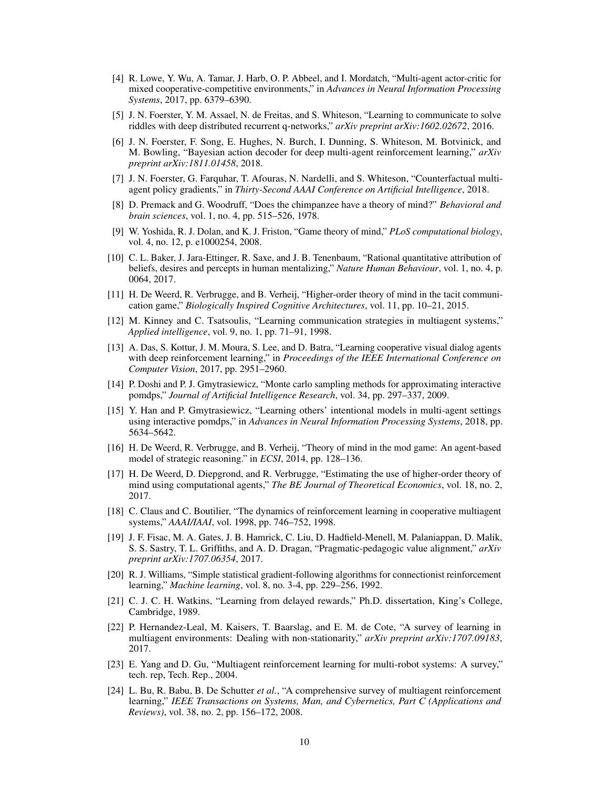- <span id="page-9-0"></span>[4] R. Lowe, Y. Wu, A. Tamar, J. Harb, O. P. Abbeel, and I. Mordatch, "Multi-agent actor-critic for mixed cooperative-competitive environments," in *Advances in Neural Information Processing Systems*, 2017, pp. 6379–6390.
- <span id="page-9-1"></span>[5] J. N. Foerster, Y. M. Assael, N. de Freitas, and S. Whiteson, "Learning to communicate to solve riddles with deep distributed recurrent q-networks," *arXiv preprint arXiv:1602.02672*, 2016.
- <span id="page-9-2"></span>[6] J. N. Foerster, F. Song, E. Hughes, N. Burch, I. Dunning, S. Whiteson, M. Botvinick, and M. Bowling, "Bayesian action decoder for deep multi-agent reinforcement learning," *arXiv preprint arXiv:1811.01458*, 2018.
- <span id="page-9-3"></span>[7] J. N. Foerster, G. Farquhar, T. Afouras, N. Nardelli, and S. Whiteson, "Counterfactual multiagent policy gradients," in *Thirty-Second AAAI Conference on Artificial Intelligence*, 2018.
- <span id="page-9-4"></span>[8] D. Premack and G. Woodruff, "Does the chimpanzee have a theory of mind?" *Behavioral and brain sciences*, vol. 1, no. 4, pp. 515–526, 1978.
- <span id="page-9-5"></span>[9] W. Yoshida, R. J. Dolan, and K. J. Friston, "Game theory of mind," *PLoS computational biology*, vol. 4, no. 12, p. e1000254, 2008.
- <span id="page-9-6"></span>[10] C. L. Baker, J. Jara-Ettinger, R. Saxe, and J. B. Tenenbaum, "Rational quantitative attribution of beliefs, desires and percepts in human mentalizing," *Nature Human Behaviour*, vol. 1, no. 4, p. 0064, 2017.
- <span id="page-9-7"></span>[11] H. De Weerd, R. Verbrugge, and B. Verheij, "Higher-order theory of mind in the tacit communication game," *Biologically Inspired Cognitive Architectures*, vol. 11, pp. 10–21, 2015.
- <span id="page-9-8"></span>[12] M. Kinney and C. Tsatsoulis, "Learning communication strategies in multiagent systems," *Applied intelligence*, vol. 9, no. 1, pp. 71–91, 1998.
- <span id="page-9-9"></span>[13] A. Das, S. Kottur, J. M. Moura, S. Lee, and D. Batra, "Learning cooperative visual dialog agents with deep reinforcement learning," in *Proceedings of the IEEE International Conference on Computer Vision*, 2017, pp. 2951–2960.
- <span id="page-9-10"></span>[14] P. Doshi and P. J. Gmytrasiewicz, "Monte carlo sampling methods for approximating interactive pomdps," *Journal of Artificial Intelligence Research*, vol. 34, pp. 297–337, 2009.
- <span id="page-9-11"></span>[15] Y. Han and P. Gmytrasiewicz, "Learning others' intentional models in multi-agent settings using interactive pomdps," in *Advances in Neural Information Processing Systems*, 2018, pp. 5634–5642.
- <span id="page-9-12"></span>[16] H. De Weerd, R. Verbrugge, and B. Verheij, "Theory of mind in the mod game: An agent-based model of strategic reasoning." in *ECSI*, 2014, pp. 128–136.
- <span id="page-9-13"></span>[17] H. De Weerd, D. Diepgrond, and R. Verbrugge, "Estimating the use of higher-order theory of mind using computational agents," *The BE Journal of Theoretical Economics*, vol. 18, no. 2, 2017.
- <span id="page-9-14"></span>[18] C. Claus and C. Boutilier, "The dynamics of reinforcement learning in cooperative multiagent systems," *AAAI/IAAI*, vol. 1998, pp. 746–752, 1998.
- <span id="page-9-15"></span>[19] J. F. Fisac, M. A. Gates, J. B. Hamrick, C. Liu, D. Hadfield-Menell, M. Palaniappan, D. Malik, S. S. Sastry, T. L. Griffiths, and A. D. Dragan, "Pragmatic-pedagogic value alignment," *arXiv preprint arXiv:1707.06354*, 2017.
- <span id="page-9-16"></span>[20] R. J. Williams, "Simple statistical gradient-following algorithms for connectionist reinforcement learning," *Machine learning*, vol. 8, no. 3-4, pp. 229–256, 1992.
- <span id="page-9-17"></span>[21] C. J. C. H. Watkins, "Learning from delayed rewards," Ph.D. dissertation, King's College, Cambridge, 1989.
- <span id="page-9-18"></span>[22] P. Hernandez-Leal, M. Kaisers, T. Baarslag, and E. M. de Cote, "A survey of learning in multiagent environments: Dealing with non-stationarity," *arXiv preprint arXiv:1707.09183*, 2017.
- <span id="page-9-19"></span>[23] E. Yang and D. Gu, "Multiagent reinforcement learning for multi-robot systems: A survey," tech. rep, Tech. Rep., 2004.
- <span id="page-9-20"></span>[24] L. Bu, R. Babu, B. De Schutter *et al.*, "A comprehensive survey of multiagent reinforcement learning," *IEEE Transactions on Systems, Man, and Cybernetics, Part C (Applications and Reviews)*, vol. 38, no. 2, pp. 156–172, 2008.